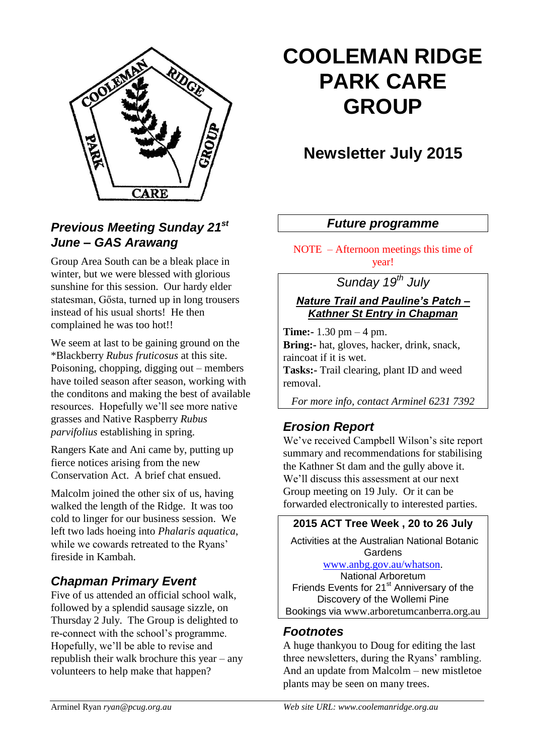

#### *Previous Meeting Sunday 21st June – GAS Arawang*

Group Area South can be a bleak place in winter, but we were blessed with glorious sunshine for this session. Our hardy elder statesman, Gősta, turned up in long trousers instead of his usual shorts! He then complained he was too hot!!

We seem at last to be gaining ground on the \*Blackberry *Rubus fruticosus* at this site. Poisoning, chopping, digging out – members have toiled season after season, working with the conditons and making the best of available resources. Hopefully we'll see more native grasses and Native Raspberry *Rubus parvifolius* establishing in spring.

Rangers Kate and Ani came by, putting up fierce notices arising from the new Conservation Act. A brief chat ensued.

Malcolm joined the other six of us, having walked the length of the Ridge. It was too cold to linger for our business session. We left two lads hoeing into *Phalaris aquatica*, while we cowards retreated to the Ryans' fireside in Kambah.

#### *Chapman Primary Event*

Five of us attended an official school walk, followed by a splendid sausage sizzle, on Thursday 2 July. The Group is delighted to re-connect with the school's programme. Hopefully, we'll be able to revise and republish their walk brochure this year – any volunteers to help make that happen?

# **COOLEMAN RIDGE PARK CARE GROUP**

# **Newsletter July 2015**

#### *Future programme*

NOTE – Afternoon meetings this time of year!

### *Sunday 19th July*

*Nature Trail and Pauline's Patch – Kathner St Entry in Chapman*

**Time:-** 1.30 pm – 4 pm. **Bring:-** hat, gloves, hacker, drink, snack, raincoat if it is wet. **Tasks:-** Trail clearing, plant ID and weed removal.

*For more info, contact Arminel 6231 7392*

#### *Erosion Report*

We've received Campbell Wilson's site report summary and recommendations for stabilising the Kathner St dam and the gully above it. We'll discuss this assessment at our next Group meeting on 19 July. Or it can be forwarded electronically to interested parties.

#### **2015 ACT Tree Week , 20 to 26 July**

Activities at the Australian National Botanic **Gardens** 

[www.anbg.gov.au/whatson.](http://www.anbg.gov.au/whatson)

National Arboretum Friends Events for 21<sup>st</sup> Anniversary of the Discovery of the Wollemi Pine Bookings via www.arboretumcanberra.org.au

#### *Footnotes*

A huge thankyou to Doug for editing the last three newsletters, during the Ryans' rambling. And an update from Malcolm – new mistletoe plants may be seen on many trees.